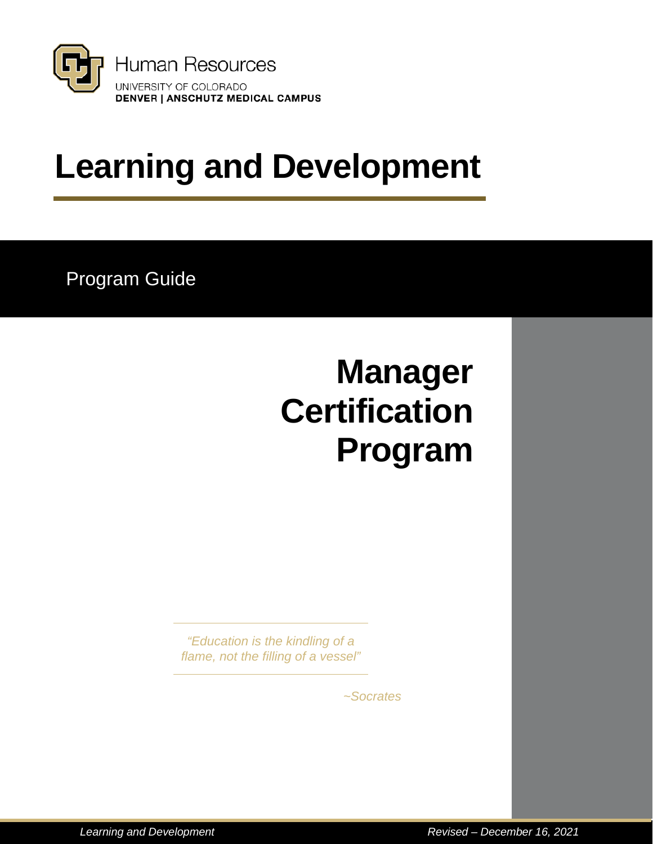

# **Learning and Development**

Program Guide

# **Manager Certification Program**

*"Education is the kindling of a flame, not the filling of a vessel"*

*~Socrates*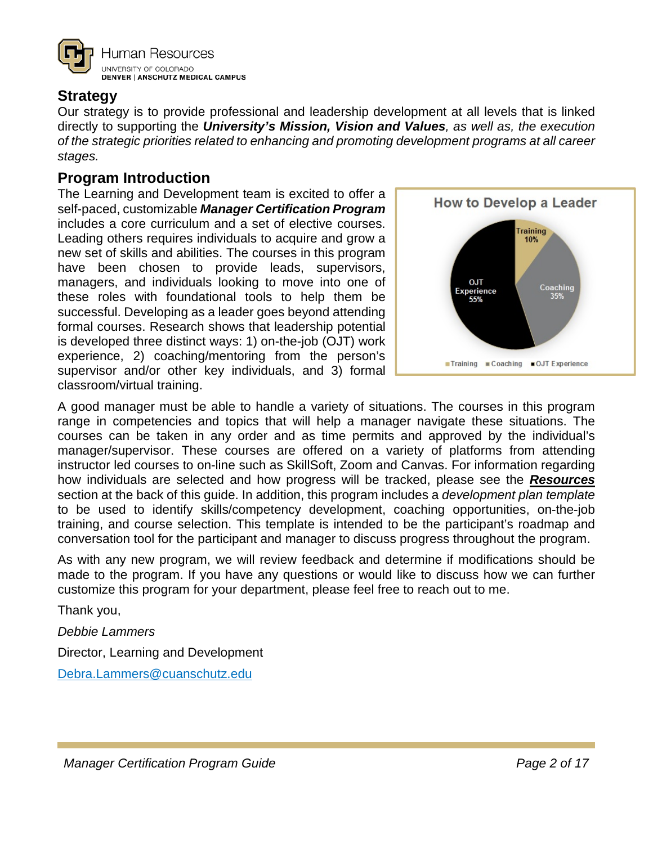

## <span id="page-1-0"></span>**Strategy**

Our strategy is to provide professional and leadership development at all levels that is linked directly to supporting the *University's Mission, Vision and Values, as well as, the execution of the strategic priorities related to enhancing and promoting development programs at all career stages.*

## <span id="page-1-1"></span>**Program Introduction**

The Learning and Development team is excited to offer a self-paced, customizable *Manager Certification Program* includes a core curriculum and a set of elective courses. Leading others requires individuals to acquire and grow a new set of skills and abilities. The courses in this program have been chosen to provide leads, supervisors, managers, and individuals looking to move into one of these roles with foundational tools to help them be successful. Developing as a leader goes beyond attending formal courses. Research shows that leadership potential is developed three distinct ways: 1) on-the-job (OJT) work experience, 2) coaching/mentoring from the person's supervisor and/or other key individuals, and 3) formal classroom/virtual training.



A good manager must be able to handle a variety of situations. The courses in this program range in competencies and topics that will help a manager navigate these situations. The courses can be taken in any order and as time permits and approved by the individual's manager/supervisor. These courses are offered on a variety of platforms from attending instructor led courses to on-line such as SkillSoft, Zoom and Canvas. For information regarding how individuals are selected and how progress will be tracked, please see the *[Resources](#page-15-0)* section at the back of this guide. In addition, this program includes a *development plan template* to be used to identify skills/competency development, coaching opportunities, on-the-job training, and course selection. This template is intended to be the participant's roadmap and conversation tool for the participant and manager to discuss progress throughout the program.

As with any new program, we will review feedback and determine if modifications should be made to the program. If you have any questions or would like to discuss how we can further customize this program for your department, please feel free to reach out to me.

Thank you,

*Debbie Lammers*

Director, Learning and Development

[Debra.Lammers@cuanschutz.edu](mailto:Debra.Lammers@cuanschutz.edu)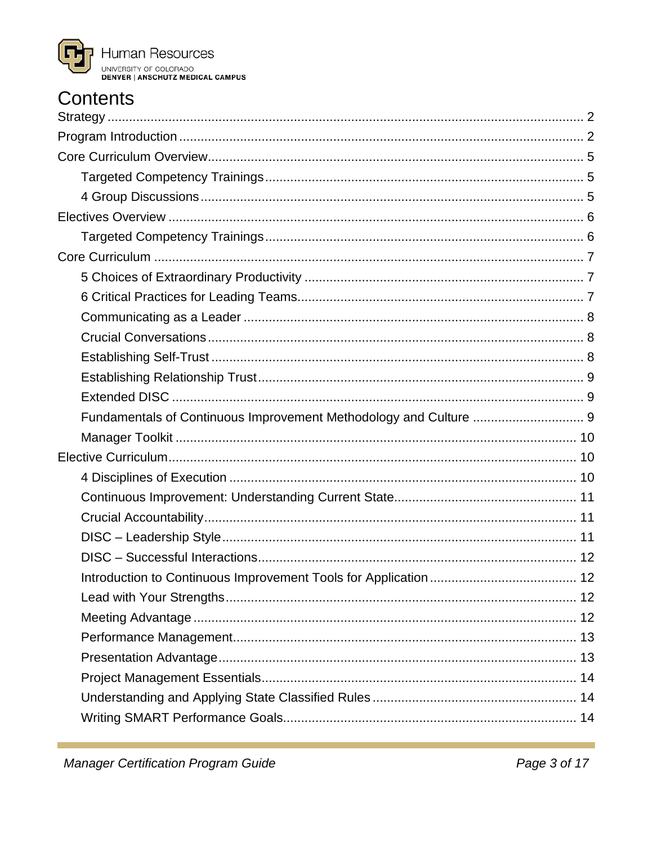

## **Contents**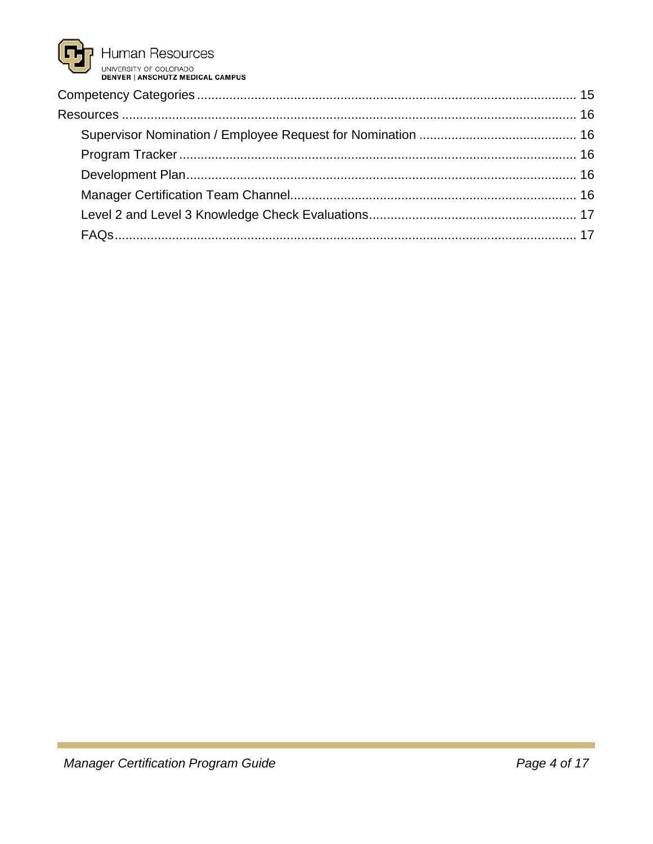Human Resources UNIVERSITY OF COLORADO<br>DENVERSITY OF COLORADO<br>DENVER | ANSCHUTZ MEDICAL CAMPUS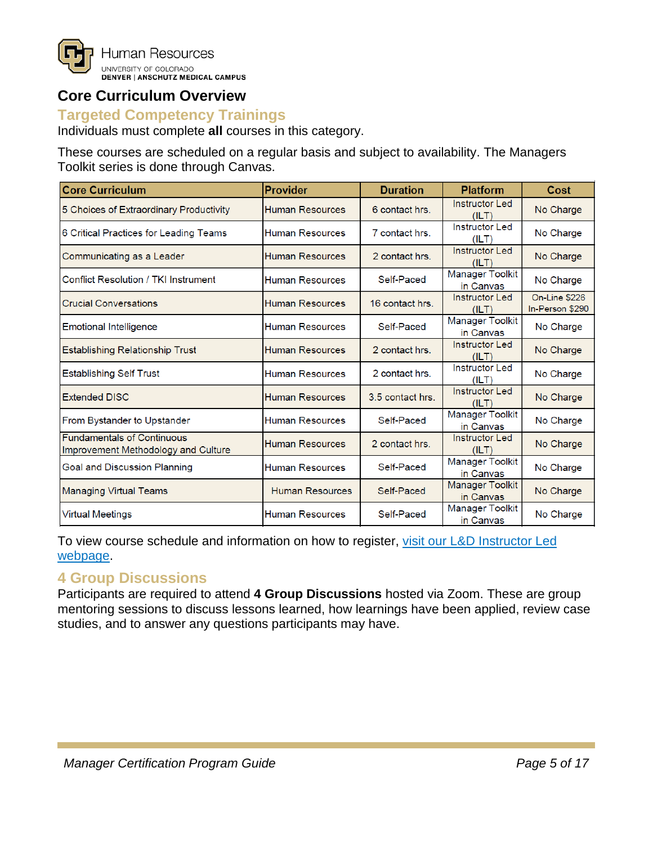

## <span id="page-4-0"></span>**Core Curriculum Overview**

### <span id="page-4-1"></span>**Targeted Competency Trainings**

Individuals must complete **all** courses in this category.

These courses are scheduled on a regular basis and subject to availability. The Managers Toolkit series is done through Canvas.

| <b>Core Curriculum</b>                                                   | <b>Provider</b>        | <b>Duration</b>  | <b>Platform</b>                     | Cost                             |  |
|--------------------------------------------------------------------------|------------------------|------------------|-------------------------------------|----------------------------------|--|
| 5 Choices of Extraordinary Productivity                                  | <b>Human Resources</b> | 6 contact hrs.   | <b>Instructor Led</b><br>(ILT)      | No Charge                        |  |
| 6 Critical Practices for Leading Teams                                   | <b>Human Resources</b> | 7 contact hrs.   | <b>Instructor Led</b><br>(ILT)      | No Charge                        |  |
| Communicating as a Leader                                                | <b>Human Resources</b> | 2 contact hrs.   | <b>Instructor Led</b><br>(ILT)      | No Charge                        |  |
| Conflict Resolution / TKI Instrument                                     | <b>Human Resources</b> | Self-Paced       | <b>Manager Toolkit</b><br>in Canvas | No Charge                        |  |
| <b>Crucial Conversations</b>                                             | <b>Human Resources</b> | 16 contact hrs.  | <b>Instructor Led</b><br>(ILT)      | On-Line \$226<br>In-Person \$290 |  |
| <b>Emotional Intelligence</b>                                            | <b>Human Resources</b> | Self-Paced       | <b>Manager Toolkit</b><br>in Canvas | No Charge                        |  |
| Establishing Relationship Trust                                          | <b>Human Resources</b> | 2 contact hrs.   | <b>Instructor Led</b><br>(ILT)      | No Charge                        |  |
| <b>Establishing Self Trust</b>                                           | <b>Human Resources</b> | 2 contact hrs.   | <b>Instructor Led</b><br>(ILT)      | No Charge                        |  |
| <b>Extended DISC</b>                                                     | <b>Human Resources</b> | 3.5 contact hrs. | <b>Instructor Led</b><br>(ILT)      | No Charge                        |  |
| From Bystander to Upstander                                              | <b>Human Resources</b> | Self-Paced       | <b>Manager Toolkit</b><br>in Canvas | No Charge                        |  |
| <b>Fundamentals of Continuous</b><br>Improvement Methodology and Culture | <b>Human Resources</b> | 2 contact hrs.   | <b>Instructor Led</b><br>(ILT)      | No Charge                        |  |
| <b>Goal and Discussion Planning</b>                                      | <b>Human Resources</b> | Self-Paced       | <b>Manager Toolkit</b><br>in Canvas | No Charge                        |  |
| <b>Managing Virtual Teams</b>                                            | <b>Human Resources</b> | Self-Paced       | Manager Toolkit<br>in Canvas        | No Charge                        |  |
| <b>Virtual Meetings</b>                                                  | <b>Human Resources</b> | Self-Paced       | <b>Manager Toolkit</b><br>in Canvas | No Charge                        |  |

To view course schedule and information on how to register, [visit our L&D Instructor Led](https://www1.ucdenver.edu/offices/human-resources/learning-development/instructor-led-training)  [webpage.](https://www1.ucdenver.edu/offices/human-resources/learning-development/instructor-led-training)

## <span id="page-4-2"></span>**4 Group Discussions**

Participants are required to attend **4 Group Discussions** hosted via Zoom. These are group mentoring sessions to discuss lessons learned, how learnings have been applied, review case studies, and to answer any questions participants may have.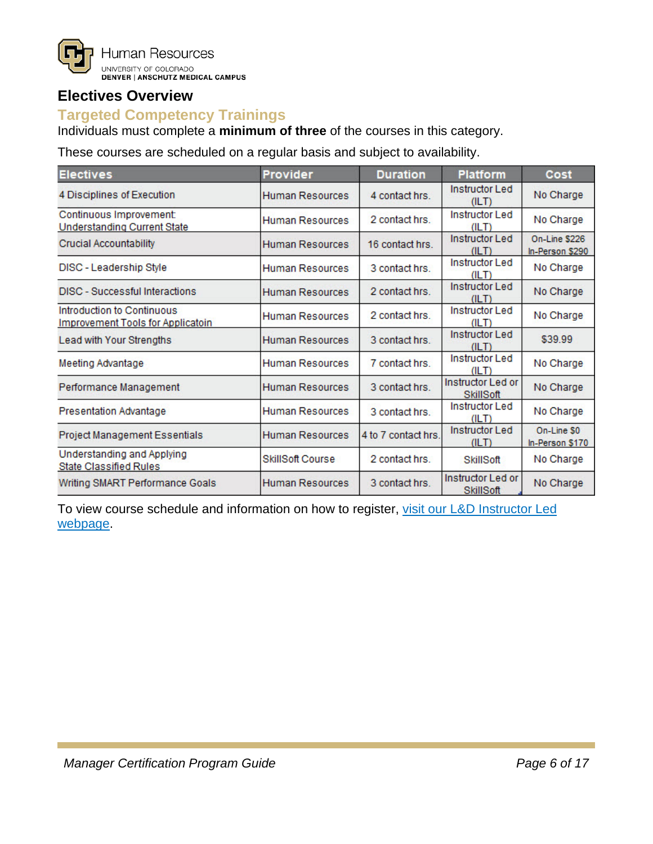

## <span id="page-5-0"></span>**Electives Overview**

## <span id="page-5-1"></span>**Targeted Competency Trainings**

Individuals must complete a **minimum of three** of the courses in this category.

These courses are scheduled on a regular basis and subject to availability.

| <b>Electives</b><br><b>Provider</b>                                    |                        | <b>Duration</b>                         | <b>Platform</b>                       | Cost                             |  |  |
|------------------------------------------------------------------------|------------------------|-----------------------------------------|---------------------------------------|----------------------------------|--|--|
| 4 Disciplines of Execution                                             | Human Resources        | 4 contact hrs.                          | <b>Instructor Led</b><br>(ILT)        | No Charge                        |  |  |
| Continuous Improvement:<br><b>Understanding Current State</b>          | Human Resources        | 2 contact hrs.                          | <b>Instructor Led</b><br>(ILT)        | No Charge                        |  |  |
| <b>Crucial Accountability</b>                                          | <b>Human Resources</b> | 16 contact hrs.                         |                                       | On-Line \$226<br>In-Person \$290 |  |  |
| DISC - Leadership Style                                                | Human Resources        | <b>Instructor Led</b><br>3 contact hrs. |                                       | No Charge                        |  |  |
| <b>DISC</b> - Successful Interactions                                  | Human Resources        | 2 contact hrs.                          |                                       | No Charge                        |  |  |
| Introduction to Continuous<br><b>Improvement Tools for Applicatoin</b> | <b>Human Resources</b> | 2 contact hrs.                          | <b>Instructor Led</b><br>(II T)       | No Charge                        |  |  |
| Lead with Your Strengths                                               | <b>Human Resources</b> | 3 contact hrs.                          | <b>Instructor Led</b><br>(ILT)        | \$39.99                          |  |  |
| <b>Meeting Advantage</b>                                               | Human Resources        | 7 contact hrs.                          | <b>Instructor Led</b><br>(ILT)        | No Charge                        |  |  |
| Performance Management                                                 | <b>Human Resources</b> | 3 contact hrs.                          | <b>Instructor Led or</b><br>SkillSoft | No Charge                        |  |  |
| <b>Presentation Advantage</b>                                          | Human Resources        |                                         | <b>Instructor Led</b><br>(ILT)        | No Charge                        |  |  |
| Project Management Essentials                                          | <b>Human Resources</b> | 4 to 7 contact hrs.                     | <b>Instructor Led</b><br>(ILT)        | On-Line \$0<br>In-Person \$170   |  |  |
| Understanding and Applying<br><b>State Classified Rules</b>            | SkillSoft Course       | 2 contact hrs.                          | SkillSoft                             | No Charge                        |  |  |
| Writing SMART Performance Goals                                        | <b>Human Resources</b> | 3 contact hrs.                          | Instructor Led or<br>SkillSoft        | No Charge                        |  |  |

To view course schedule and information on how to register, visit our L&D Instructor Led [webpage.](https://www1.ucdenver.edu/offices/human-resources/learning-development/instructor-led-training)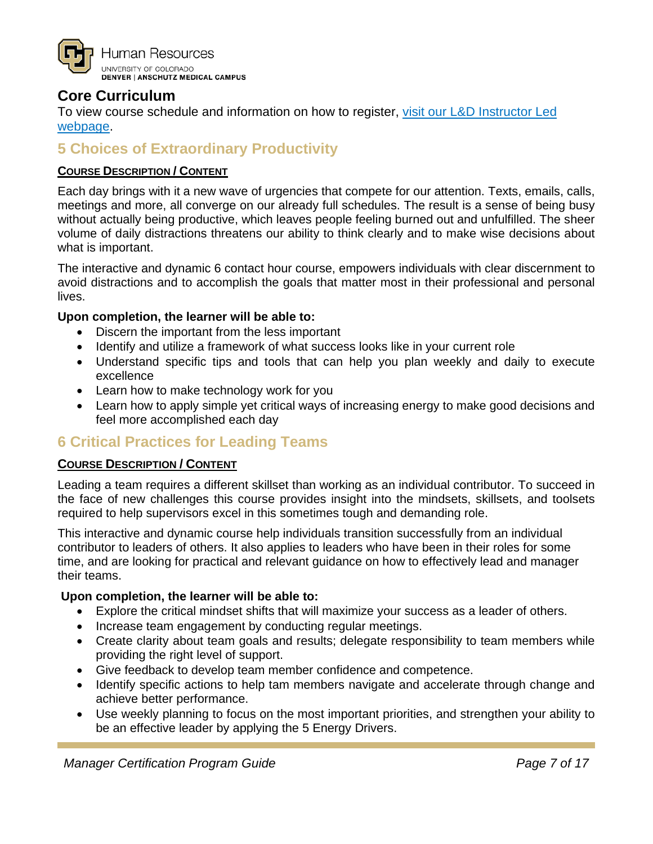

## <span id="page-6-0"></span>**Core Curriculum**

<span id="page-6-1"></span>To view course schedule and information on how to register, [visit our L&D Instructor Led](https://www1.ucdenver.edu/offices/human-resources/learning-development/instructor-led-training)  [webpage.](https://www1.ucdenver.edu/offices/human-resources/learning-development/instructor-led-training)

## **5 Choices of Extraordinary Productivity**

#### **COURSE DESCRIPTION / CONTENT**

Each day brings with it a new wave of urgencies that compete for our attention. Texts, emails, calls, meetings and more, all converge on our already full schedules. The result is a sense of being busy without actually being productive, which leaves people feeling burned out and unfulfilled. The sheer volume of daily distractions threatens our ability to think clearly and to make wise decisions about what is important.

The interactive and dynamic 6 contact hour course, empowers individuals with clear discernment to avoid distractions and to accomplish the goals that matter most in their professional and personal lives.

#### **Upon completion, the learner will be able to:**

- Discern the important from the less important
- Identify and utilize a framework of what success looks like in your current role
- Understand specific tips and tools that can help you plan weekly and daily to execute excellence
- Learn how to make technology work for you
- Learn how to apply simple yet critical ways of increasing energy to make good decisions and feel more accomplished each day

## <span id="page-6-2"></span>**6 Critical Practices for Leading Teams**

#### **COURSE DESCRIPTION / CONTENT**

Leading a team requires a different skillset than working as an individual contributor. To succeed in the face of new challenges this course provides insight into the mindsets, skillsets, and toolsets required to help supervisors excel in this sometimes tough and demanding role.

This interactive and dynamic course help individuals transition successfully from an individual contributor to leaders of others. It also applies to leaders who have been in their roles for some time, and are looking for practical and relevant guidance on how to effectively lead and manager their teams.

- Explore the critical mindset shifts that will maximize your success as a leader of others.
- Increase team engagement by conducting regular meetings.
- Create clarity about team goals and results; delegate responsibility to team members while providing the right level of support.
- Give feedback to develop team member confidence and competence.
- Identify specific actions to help tam members navigate and accelerate through change and achieve better performance.
- Use weekly planning to focus on the most important priorities, and strengthen your ability to be an effective leader by applying the 5 Energy Drivers.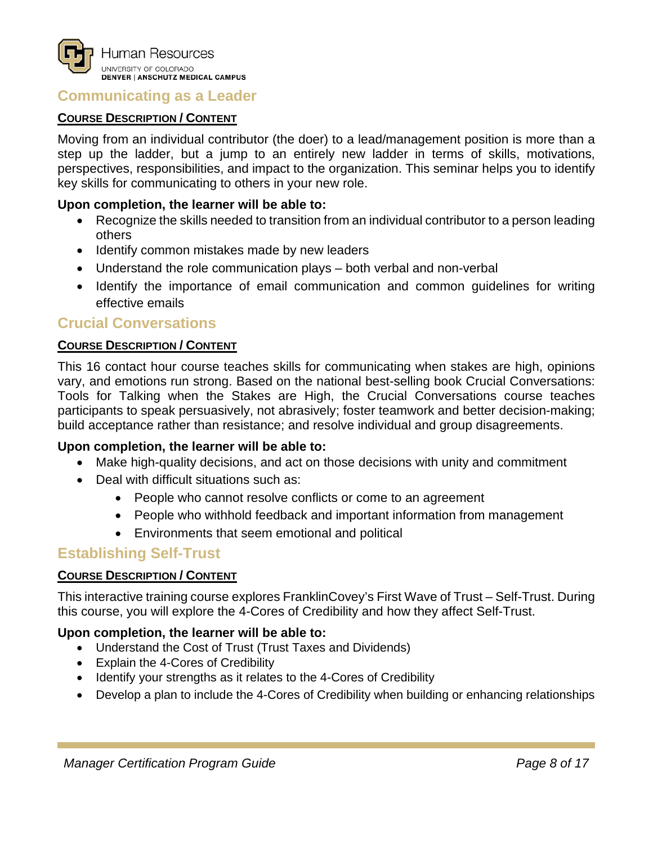

#### <span id="page-7-0"></span>**Communicating as a Leader**

#### **COURSE DESCRIPTION / CONTENT**

Moving from an individual contributor (the doer) to a lead/management position is more than a step up the ladder, but a jump to an entirely new ladder in terms of skills, motivations, perspectives, responsibilities, and impact to the organization. This seminar helps you to identify key skills for communicating to others in your new role.

#### **Upon completion, the learner will be able to:**

- Recognize the skills needed to transition from an individual contributor to a person leading others
- Identify common mistakes made by new leaders
- Understand the role communication plays both verbal and non-verbal
- Identify the importance of email communication and common guidelines for writing effective emails

#### <span id="page-7-1"></span>**Crucial Conversations**

#### **COURSE DESCRIPTION / CONTENT**

This 16 contact hour course teaches skills for communicating when stakes are high, opinions vary, and emotions run strong. Based on the national best-selling book Crucial Conversations: Tools for Talking when the Stakes are High, the Crucial Conversations course teaches participants to speak persuasively, not abrasively; foster teamwork and better decision-making; build acceptance rather than resistance; and resolve individual and group disagreements.

#### **Upon completion, the learner will be able to:**

- Make high-quality decisions, and act on those decisions with unity and commitment
- Deal with difficult situations such as:
	- People who cannot resolve conflicts or come to an agreement
	- People who withhold feedback and important information from management
	- Environments that seem emotional and political

#### <span id="page-7-2"></span>**Establishing Self-Trust**

#### **COURSE DESCRIPTION / CONTENT**

This interactive training course explores FranklinCovey's First Wave of Trust – Self-Trust. During this course, you will explore the 4-Cores of Credibility and how they affect Self-Trust.

- Understand the Cost of Trust (Trust Taxes and Dividends)
- Explain the 4-Cores of Credibility
- Identify your strengths as it relates to the 4-Cores of Credibility
- Develop a plan to include the 4-Cores of Credibility when building or enhancing relationships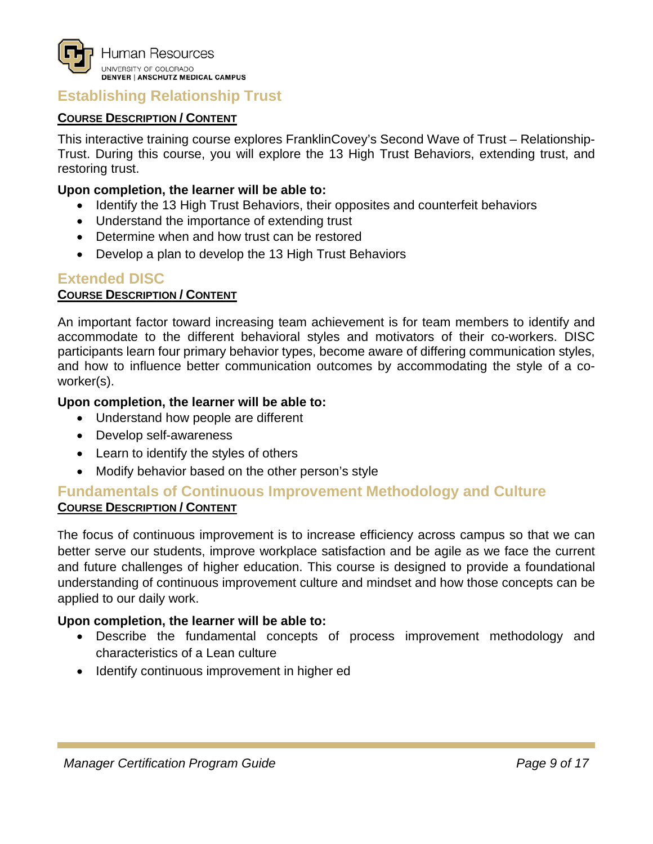

## <span id="page-8-0"></span>**Establishing Relationship Trust**

#### **COURSE DESCRIPTION / CONTENT**

This interactive training course explores FranklinCovey's Second Wave of Trust – Relationship-Trust. During this course, you will explore the 13 High Trust Behaviors, extending trust, and restoring trust.

#### **Upon completion, the learner will be able to:**

- Identify the 13 High Trust Behaviors, their opposites and counterfeit behaviors
- Understand the importance of extending trust
- Determine when and how trust can be restored
- Develop a plan to develop the 13 High Trust Behaviors

#### <span id="page-8-1"></span>**Extended DISC**

#### **COURSE DESCRIPTION / CONTENT**

An important factor toward increasing team achievement is for team members to identify and accommodate to the different behavioral styles and motivators of their co-workers. DISC participants learn four primary behavior types, become aware of differing communication styles, and how to influence better communication outcomes by accommodating the style of a coworker(s).

#### **Upon completion, the learner will be able to:**

- Understand how people are different
- Develop self-awareness
- Learn to identify the styles of others
- Modify behavior based on the other person's style

#### <span id="page-8-2"></span>**Fundamentals of Continuous Improvement Methodology and Culture COURSE DESCRIPTION / CONTENT**

The focus of continuous improvement is to increase efficiency across campus so that we can better serve our students, improve workplace satisfaction and be agile as we face the current and future challenges of higher education. This course is designed to provide a foundational understanding of continuous improvement culture and mindset and how those concepts can be applied to our daily work.

- Describe the fundamental concepts of process improvement methodology and characteristics of a Lean culture
- Identify continuous improvement in higher ed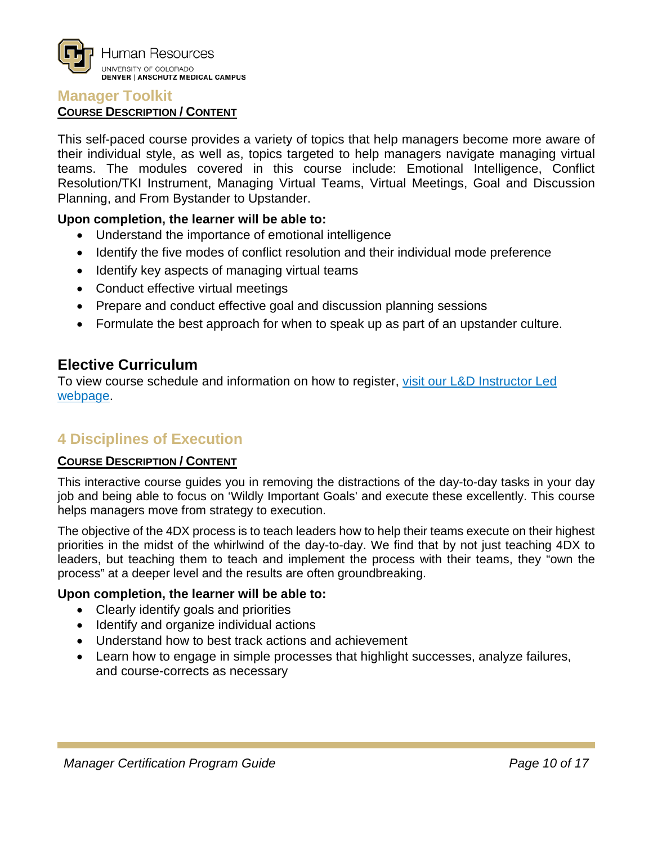

#### <span id="page-9-0"></span>**Manager Toolkit**

#### **COURSE DESCRIPTION / CONTENT**

This self-paced course provides a variety of topics that help managers become more aware of their individual style, as well as, topics targeted to help managers navigate managing virtual teams. The modules covered in this course include: Emotional Intelligence, Conflict Resolution/TKI Instrument, Managing Virtual Teams, Virtual Meetings, Goal and Discussion Planning, and From Bystander to Upstander.

#### **Upon completion, the learner will be able to:**

- Understand the importance of emotional intelligence
- Identify the five modes of conflict resolution and their individual mode preference
- Identify key aspects of managing virtual teams
- Conduct effective virtual meetings
- Prepare and conduct effective goal and discussion planning sessions
- Formulate the best approach for when to speak up as part of an upstander culture.

#### <span id="page-9-1"></span>**Elective Curriculum**

To view course schedule and information on how to register, [visit our L&D Instructor Led](https://www1.ucdenver.edu/offices/human-resources/learning-development/instructor-led-training)  [webpage.](https://www1.ucdenver.edu/offices/human-resources/learning-development/instructor-led-training)

## <span id="page-9-2"></span>**4 Disciplines of Execution**

#### **COURSE DESCRIPTION / CONTENT**

This interactive course guides you in removing the distractions of the day-to-day tasks in your day job and being able to focus on 'Wildly Important Goals' and execute these excellently. This course helps managers move from strategy to execution.

The objective of the 4DX process is to teach leaders how to help their teams execute on their highest priorities in the midst of the whirlwind of the day-to-day. We find that by not just teaching 4DX to leaders, but teaching them to teach and implement the process with their teams, they "own the process" at a deeper level and the results are often groundbreaking.

- Clearly identify goals and priorities
- Identify and organize individual actions
- Understand how to best track actions and achievement
- Learn how to engage in simple processes that highlight successes, analyze failures, and course-corrects as necessary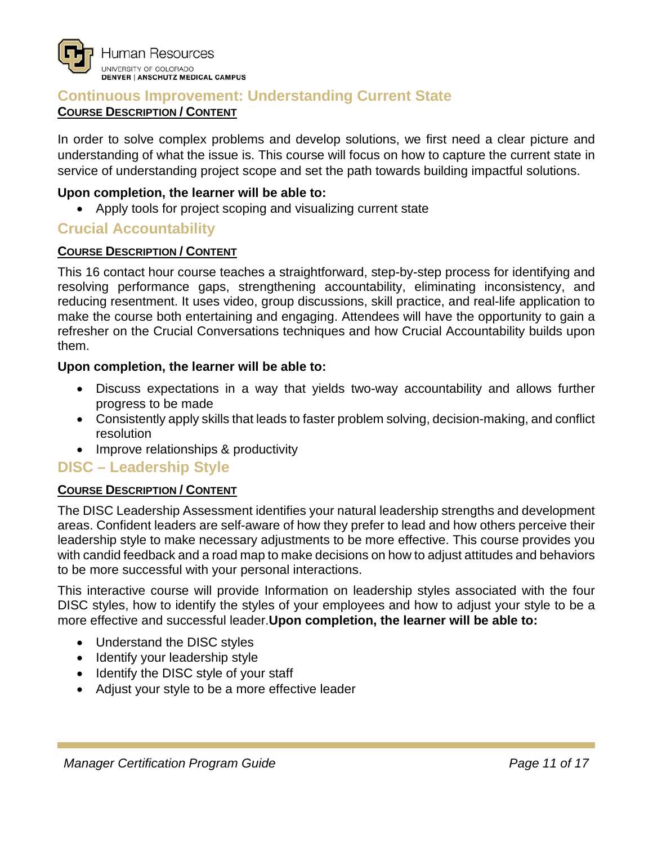#### <span id="page-10-0"></span>**Continuous Improvement: Understanding Current State COURSE DESCRIPTION / CONTENT**

In order to solve complex problems and develop solutions, we first need a clear picture and understanding of what the issue is. This course will focus on how to capture the current state in service of understanding project scope and set the path towards building impactful solutions.

#### **Upon completion, the learner will be able to:**

• Apply tools for project scoping and visualizing current state

## <span id="page-10-1"></span>**Crucial Accountability**

#### **COURSE DESCRIPTION / CONTENT**

This 16 contact hour course teaches a straightforward, step-by-step process for identifying and resolving performance gaps, strengthening accountability, eliminating inconsistency, and reducing resentment. It uses video, group discussions, skill practice, and real-life application to make the course both entertaining and engaging. Attendees will have the opportunity to gain a refresher on the Crucial Conversations techniques and how Crucial Accountability builds upon them.

#### **Upon completion, the learner will be able to:**

- Discuss expectations in a way that yields two-way accountability and allows further progress to be made
- Consistently apply skills that leads to faster problem solving, decision-making, and conflict resolution
- Improve relationships & productivity

## <span id="page-10-2"></span>**DISC – Leadership Style**

#### **COURSE DESCRIPTION / CONTENT**

The DISC Leadership Assessment identifies your natural leadership strengths and development areas. Confident leaders are self-aware of how they prefer to lead and how others perceive their leadership style to make necessary adjustments to be more effective. This course provides you with candid feedback and a road map to make decisions on how to adjust attitudes and behaviors to be more successful with your personal interactions.

This interactive course will provide Information on leadership styles associated with the four DISC styles, how to identify the styles of your employees and how to adjust your style to be a more effective and successful leader.**Upon completion, the learner will be able to:**

- Understand the DISC styles
- Identify your leadership style
- Identify the DISC style of your staff
- Adjust your style to be a more effective leader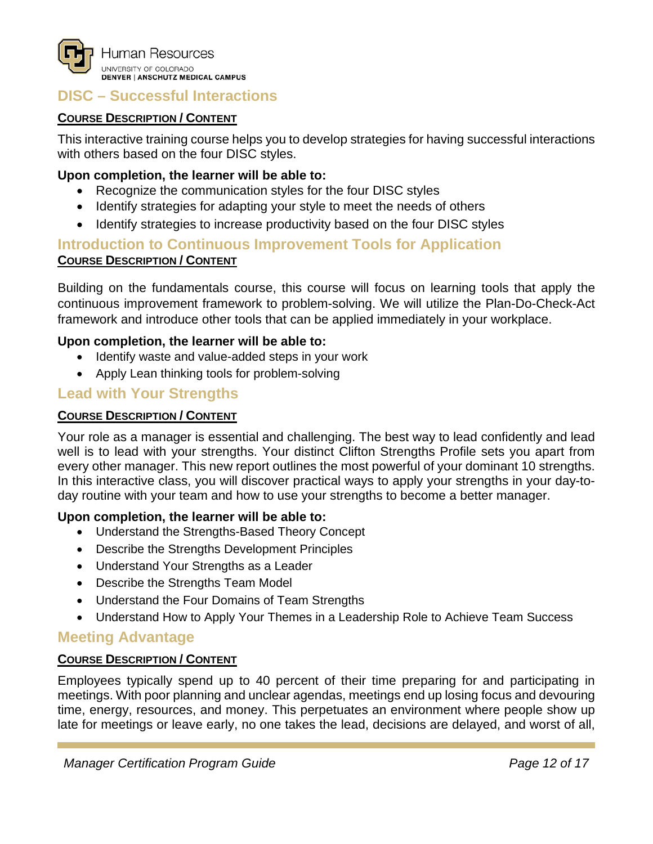

## <span id="page-11-0"></span>**DISC – Successful Interactions**

#### **COURSE DESCRIPTION / CONTENT**

This interactive training course helps you to develop strategies for having successful interactions with others based on the four DISC styles.

#### **Upon completion, the learner will be able to:**

- Recognize the communication styles for the four DISC styles
- Identify strategies for adapting your style to meet the needs of others
- Identify strategies to increase productivity based on the four DISC styles

## <span id="page-11-1"></span>**Introduction to Continuous Improvement Tools for Application COURSE DESCRIPTION / CONTENT**

Building on the fundamentals course, this course will focus on learning tools that apply the continuous improvement framework to problem-solving. We will utilize the Plan-Do-Check-Act framework and introduce other tools that can be applied immediately in your workplace.

#### **Upon completion, the learner will be able to:**

- Identify waste and value-added steps in your work
- Apply Lean thinking tools for problem-solving

## <span id="page-11-2"></span>**Lead with Your Strengths**

#### **COURSE DESCRIPTION / CONTENT**

Your role as a manager is essential and challenging. The best way to lead confidently and lead well is to lead with your strengths. Your distinct Clifton Strengths Profile sets you apart from every other manager. This new report outlines the most powerful of your dominant 10 strengths. In this interactive class, you will discover practical ways to apply your strengths in your day-today routine with your team and how to use your strengths to become a better manager.

#### **Upon completion, the learner will be able to:**

- Understand the Strengths-Based Theory Concept
- Describe the Strengths Development Principles
- Understand Your Strengths as a Leader
- Describe the Strengths Team Model
- Understand the Four Domains of Team Strengths
- Understand How to Apply Your Themes in a Leadership Role to Achieve Team Success

## <span id="page-11-3"></span>**Meeting Advantage**

#### **COURSE DESCRIPTION / CONTENT**

Employees typically spend up to 40 percent of their time preparing for and participating in meetings. With poor planning and unclear agendas, meetings end up losing focus and devouring time, energy, resources, and money. This perpetuates an environment where people show up late for meetings or leave early, no one takes the lead, decisions are delayed, and worst of all,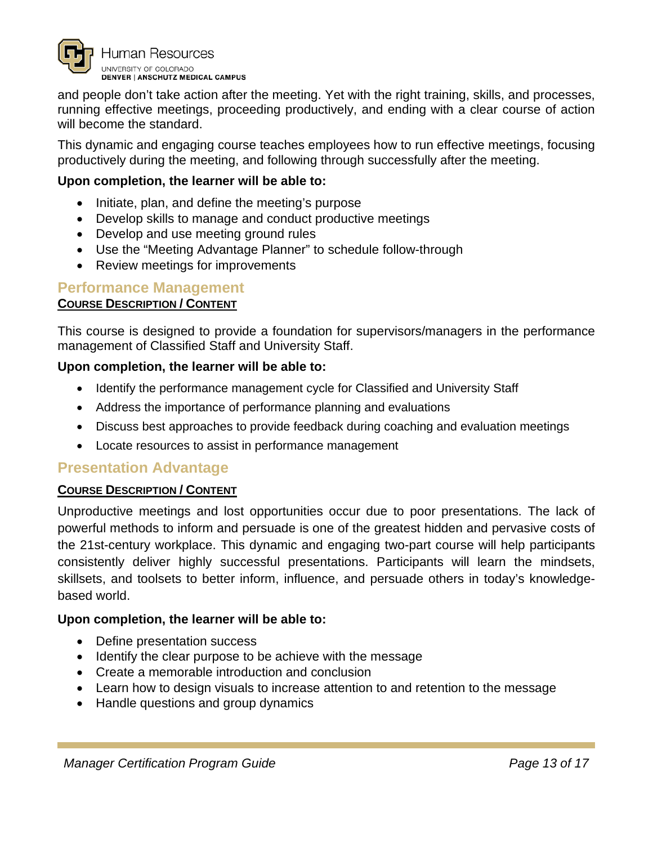

and people don't take action after the meeting. Yet with the right training, skills, and processes, running effective meetings, proceeding productively, and ending with a clear course of action will become the standard.

This dynamic and engaging course teaches employees how to run effective meetings, focusing productively during the meeting, and following through successfully after the meeting.

#### **Upon completion, the learner will be able to:**

- Initiate, plan, and define the meeting's purpose
- Develop skills to manage and conduct productive meetings
- Develop and use meeting ground rules
- Use the "Meeting Advantage Planner" to schedule follow-through
- Review meetings for improvements

#### <span id="page-12-0"></span>**Performance Management**

#### **COURSE DESCRIPTION / CONTENT**

This course is designed to provide a foundation for supervisors/managers in the performance management of Classified Staff and University Staff.

#### **Upon completion, the learner will be able to:**

- Identify the performance management cycle for Classified and University Staff
- Address the importance of performance planning and evaluations
- Discuss best approaches to provide feedback during coaching and evaluation meetings
- Locate resources to assist in performance management

#### <span id="page-12-1"></span>**Presentation Advantage**

#### **COURSE DESCRIPTION / CONTENT**

Unproductive meetings and lost opportunities occur due to poor presentations. The lack of powerful methods to inform and persuade is one of the greatest hidden and pervasive costs of the 21st-century workplace. This dynamic and engaging two-part course will help participants consistently deliver highly successful presentations. Participants will learn the mindsets, skillsets, and toolsets to better inform, influence, and persuade others in today's knowledgebased world.

- Define presentation success
- Identify the clear purpose to be achieve with the message
- Create a memorable introduction and conclusion
- Learn how to design visuals to increase attention to and retention to the message
- Handle questions and group dynamics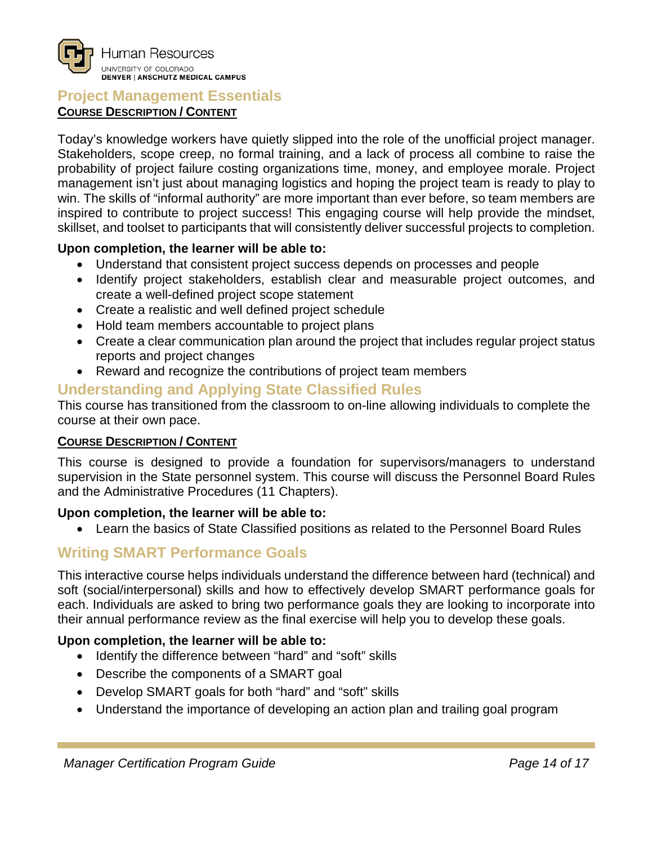#### <span id="page-13-0"></span>**Project Management Essentials COURSE DESCRIPTION / CONTENT**

Today's knowledge workers have quietly slipped into the role of the unofficial project manager. Stakeholders, scope creep, no formal training, and a lack of process all combine to raise the probability of project failure costing organizations time, money, and employee morale. Project management isn't just about managing logistics and hoping the project team is ready to play to win. The skills of "informal authority" are more important than ever before, so team members are inspired to contribute to project success! This engaging course will help provide the mindset, skillset, and toolset to participants that will consistently deliver successful projects to completion.

#### **Upon completion, the learner will be able to:**

- Understand that consistent project success depends on processes and people
- Identify project stakeholders, establish clear and measurable project outcomes, and create a well-defined project scope statement
- Create a realistic and well defined project schedule
- Hold team members accountable to project plans
- Create a clear communication plan around the project that includes regular project status reports and project changes
- Reward and recognize the contributions of project team members

## <span id="page-13-1"></span>**Understanding and Applying State Classified Rules**

This course has transitioned from the classroom to on-line allowing individuals to complete the course at their own pace.

#### **COURSE DESCRIPTION / CONTENT**

This course is designed to provide a foundation for supervisors/managers to understand supervision in the State personnel system. This course will discuss the Personnel Board Rules and the Administrative Procedures (11 Chapters).

#### **Upon completion, the learner will be able to:**

• Learn the basics of State Classified positions as related to the Personnel Board Rules

## <span id="page-13-2"></span>**Writing SMART Performance Goals**

This interactive course helps individuals understand the difference between hard (technical) and soft (social/interpersonal) skills and how to effectively develop SMART performance goals for each. Individuals are asked to bring two performance goals they are looking to incorporate into their annual performance review as the final exercise will help you to develop these goals.

- Identify the difference between "hard" and "soft" skills
- Describe the components of a SMART goal
- Develop SMART goals for both "hard" and "soft" skills
- Understand the importance of developing an action plan and trailing goal program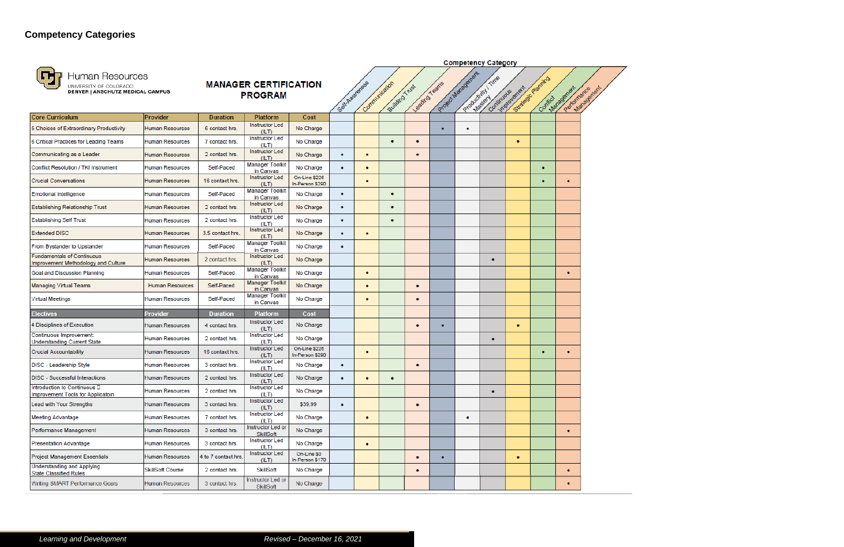

## <span id="page-14-0"></span>**Competency Categories**



## Human Resources

| Æij<br>Human Resources<br>UNIVERSITY OF COLORADO<br><b>DENVER   ANSCHUTZ MEDICAL CAMPUS</b> |                         |                     | <b>MANAGER CERTIFICATION</b><br><b>PROGRAM</b> |                                  | Self-Awareness | Communication | Building Trust | Leading Teams |   | Project Management | Productivity / Time | Continuous emert | Strategic Planting<br>Connict | Partomance enert<br>Management |  |
|---------------------------------------------------------------------------------------------|-------------------------|---------------------|------------------------------------------------|----------------------------------|----------------|---------------|----------------|---------------|---|--------------------|---------------------|------------------|-------------------------------|--------------------------------|--|
| Core Curriculum                                                                             | Provider                | <b>Duration</b>     | Platform                                       | Cost                             |                |               |                |               |   |                    |                     |                  |                               |                                |  |
| 5 Choices of Extraordinary Productivity                                                     | <b>Human Resources</b>  | 6 contact hrs.      | <b>Instructor Led</b><br>(ILT)                 | No Charge                        |                |               |                |               | ٠ | ٠                  |                     |                  |                               |                                |  |
| 6 Critical Practices for Leading Teams                                                      | <b>Human Resources</b>  | 7 contact hrs.      | <b>Instructor Led</b><br>(ILT)                 | No Charge                        |                |               | ۰              | ٠             |   |                    |                     | ٠                |                               |                                |  |
| Communicating as a Leader                                                                   | <b>Human Resources</b>  | 2 contact hrs.      | <b>Instructor Led</b><br>(ILT)                 | No Charge                        | ٠              | ۰             |                | ٠             |   |                    |                     |                  |                               |                                |  |
| <b>Conflict Resolution / TKI Instrument</b>                                                 | <b>Human Resources</b>  | Self-Paced          | <b>Manager Toolkit</b><br>in Canvas            | No Charge                        | ٠              | ۰             |                |               |   |                    |                     |                  |                               |                                |  |
| <b>Crucial Conversations</b>                                                                | <b>Human Resources</b>  | 16 contact hrs.     | <b>Instructor Led</b><br>(ILT)                 | On-Line \$226<br>In-Person \$290 |                | ۰             |                |               |   |                    |                     |                  |                               | ٠                              |  |
| <b>Emotional Intelligence</b>                                                               | <b>Human Resources</b>  | Self-Paced          | <b>Manager Toolkit</b><br>in Canvas            | No Charge                        | ٠              |               | ٠              |               |   |                    |                     |                  |                               |                                |  |
| <b>Establishing Relationship Trust</b>                                                      | <b>Human Resources</b>  | 2 contact hrs.      | <b>Instructor Led</b><br>(ILT)                 | No Charge                        | ٠              |               | ۰              |               |   |                    |                     |                  |                               |                                |  |
| <b>Establishing Self Trust</b>                                                              | <b>Human Resources</b>  | 2 contact hrs.      | <b>Instructor Led</b><br>(ILT)                 | No Charge                        | ٠              |               | ٠              |               |   |                    |                     |                  |                               |                                |  |
| <b>Extended DISC</b>                                                                        | <b>Human Resources</b>  | 3.5 contact hrs.    | <b>Instructor Led</b><br>(ILT)                 | No Charge                        | ٠              | ۰             |                |               |   |                    |                     |                  |                               |                                |  |
| From Bystander to Upstander                                                                 | <b>Human Resources</b>  | Self-Paced          | <b>Manager Toolkit</b><br>in Canvas            | No Charge                        | ٠              |               |                |               |   |                    |                     |                  |                               |                                |  |
| <b>Fundamentals of Continuous</b><br>Improvement Methodology and Culture                    | <b>Human Resources</b>  | 2 contact hrs.      | <b>Instructor Led</b><br>(ILT)                 | No Charge                        |                |               |                |               |   |                    | ۰                   |                  |                               |                                |  |
| Goal and Discussion Planning                                                                | <b>Human Resources</b>  | Self-Paced          | <b>Manager Toolkit</b><br>in Canvas            | No Charge                        |                | ٠             |                |               |   |                    |                     |                  |                               | ٠                              |  |
| <b>Managing Virtual Teams</b>                                                               | <b>Human Resources</b>  | Self-Paced          | <b>Manager Toolkit</b><br>in Canvas            | No Charge                        |                | ٠             |                | ۰             |   |                    |                     |                  |                               |                                |  |
| <b>Virtual Meetings</b>                                                                     | <b>Human Resources</b>  | Self-Paced          | <b>Manager Toolkit</b><br>in Canvas            | No Charge                        |                | ۰             |                | ٠             |   |                    |                     |                  |                               |                                |  |
| <b>Electives</b>                                                                            | <b>Provider</b>         | <b>Duration</b>     | <b>Platform</b>                                | Cost                             |                |               |                |               |   |                    |                     |                  |                               |                                |  |
| 4 Disciplines of Execution                                                                  | <b>Human Resources</b>  | 4 contact hrs.      | <b>Instructor Led</b><br>(ILT)                 | No Charge                        |                |               |                | ٠             |   |                    |                     | ٠                |                               |                                |  |
| Continuous Improvement:<br><b>Understanding Current State</b>                               | <b>Human Resources</b>  | 2 contact hrs.      | <b>Instructor Led</b><br>(ILT)                 | No Charge                        |                |               |                |               |   |                    | ٠                   |                  |                               |                                |  |
| <b>Crucial Accountability</b>                                                               | <b>Human Resources</b>  | 16 contact hrs.     | <b>Instructor Led</b><br>(ILT)                 | On-Line \$226<br>In-Person \$290 |                | ۰             |                |               |   |                    |                     |                  | ٠                             | ٠                              |  |
| DISC - Leadership Style                                                                     | <b>Human Resources</b>  | 3 contact hrs.      | Instructor Led<br>(ILT)                        | No Charge                        | ۰              |               |                | ٠             |   |                    |                     |                  |                               |                                |  |
| <b>DISC</b> - Successful Interactions                                                       | <b>Human Resources</b>  | 2 contact hrs.      | <b>Instructor Led</b><br>(ILT)                 | No Charge                        | ۰              | ٠             | ٠              |               |   |                    |                     |                  |                               |                                |  |
| Introduction to Continuous D<br>Improvement Tools for Applicatoin                           | <b>Human Resources</b>  | 2 contact hrs.      | Instructor Led<br>(ILT)                        | No Charge                        |                |               |                |               |   |                    | ٠                   |                  |                               |                                |  |
| Lead with Your Strengths                                                                    | <b>Human Resources</b>  | 3 contact hrs.      | Instructor Led<br>(ILT)                        | \$39.99                          | $\bullet$      |               |                | ٠             |   |                    |                     |                  |                               |                                |  |
| <b>Meeting Advantage</b>                                                                    | <b>Human Resources</b>  | 7 contact hrs.      | Instructor Led<br>(ILT)                        | No Charge                        |                | ٠             |                |               |   | ٠                  |                     |                  |                               |                                |  |
| Performance Management                                                                      | <b>Human Resources</b>  | 3 contact hrs.      | Instructor Led or<br>SkillSoft                 | No Charge                        |                |               |                |               |   |                    |                     |                  |                               | ٠                              |  |
| <b>Presentation Advantage</b>                                                               | <b>Human Resources</b>  | 3 contact hrs.      | <b>Instructor Led</b><br>(ILT)                 | No Charge                        |                | ٠             |                |               |   |                    |                     |                  |                               |                                |  |
| Project Management Essentials                                                               | <b>Human Resources</b>  | 4 to 7 contact hrs. | Instructor Led<br>(ILT)                        | On-Line \$0<br>In-Person \$170   |                |               |                | ٠             | ٠ |                    |                     | ٠                |                               |                                |  |
| <b>Understanding and Applying</b><br>State Classified Rules                                 | <b>SkillSoft Course</b> | 2 contact hrs.      | <b>SkillSoft</b>                               | No Charge                        |                |               |                | ٠             |   |                    |                     |                  |                               | ٠                              |  |
| Writing SMART Performance Goals                                                             | <b>Human Resources</b>  | 3 contact hrs.      | Instructor Led or<br>SkillSoft                 | No Charge                        |                |               |                |               |   |                    |                     |                  |                               | ٠                              |  |

**Competency Category**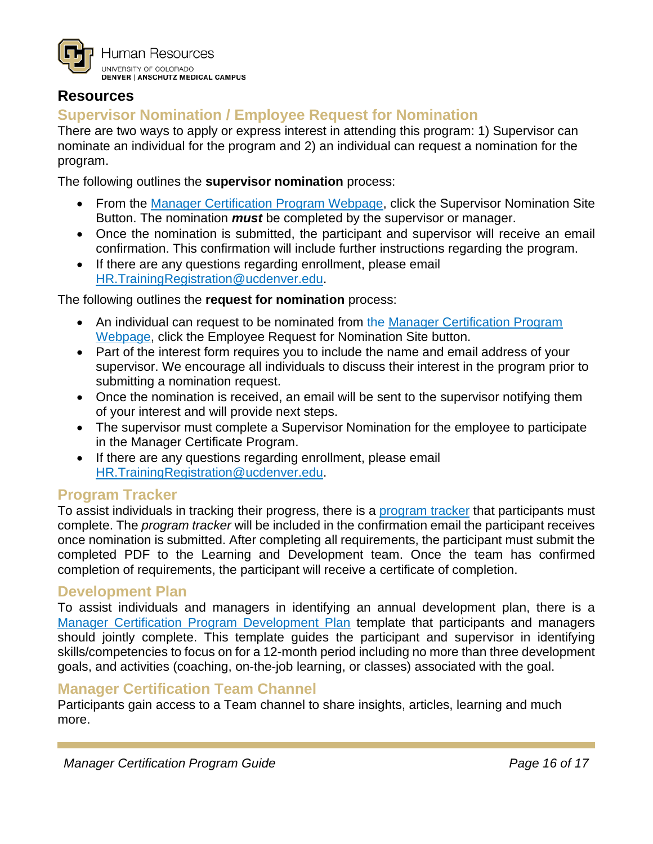

## <span id="page-15-0"></span>**Resources**

## <span id="page-15-1"></span>**Supervisor Nomination / Employee Request for Nomination**

There are two ways to apply or express interest in attending this program: 1) Supervisor can nominate an individual for the program and 2) an individual can request a nomination for the program.

The following outlines the **supervisor nomination** process:

- From the [Manager Certification Program Webpage,](https://www1.ucdenver.edu/offices/human-resources/learning-development/manager-development-resources) click the Supervisor Nomination Site Button. The nomination *must* be completed by the supervisor or manager.
- Once the nomination is submitted, the participant and supervisor will receive an email confirmation. This confirmation will include further instructions regarding the program.
- If there are any questions regarding enrollment, please email [HR.TrainingRegistration@ucdenver.edu.](mailto:HR.TrainingRegistration@ucdenver.edu)

The following outlines the **request for nomination** process:

- An individual can request to be nominated from the Manager Certification Program [Webpage,](https://www1.ucdenver.edu/offices/human-resources/learning-development/manager-development-resources) click the Employee Request for Nomination Site button.
- Part of the interest form requires you to include the name and email address of your supervisor. We encourage all individuals to discuss their interest in the program prior to submitting a nomination request.
- Once the nomination is received, an email will be sent to the supervisor notifying them of your interest and will provide next steps.
- The supervisor must complete a Supervisor Nomination for the employee to participate in the Manager Certificate Program.
- If there are any questions regarding enrollment, please email [HR.TrainingRegistration@ucdenver.edu.](mailto:HR.TrainingRegistration@ucdenver.edu)

## <span id="page-15-2"></span>**Program Tracker**

To assist individuals in tracking their progress, there is a [program tracker](https://www1.ucdenver.edu/docs/librariesprovider188/learning-development/manager-certification-program-tracker.pdf) that participants must complete. The *program tracker* will be included in the confirmation email the participant receives once nomination is submitted. After completing all requirements, the participant must submit the completed PDF to the Learning and Development team. Once the team has confirmed completion of requirements, the participant will receive a certificate of completion.

#### <span id="page-15-3"></span>**Development Plan**

To assist individuals and managers in identifying an annual development plan, there is a [Manager Certification Program Development Plan](https://www1.ucdenver.edu/docs/librariesprovider188/learning-development/manager-certification-program-development-plan.pdf) template that participants and managers should jointly complete. This template guides the participant and supervisor in identifying skills/competencies to focus on for a 12-month period including no more than three development goals, and activities (coaching, on-the-job learning, or classes) associated with the goal.

#### <span id="page-15-4"></span>**Manager Certification Team Channel**

Participants gain access to a Team channel to share insights, articles, learning and much more.